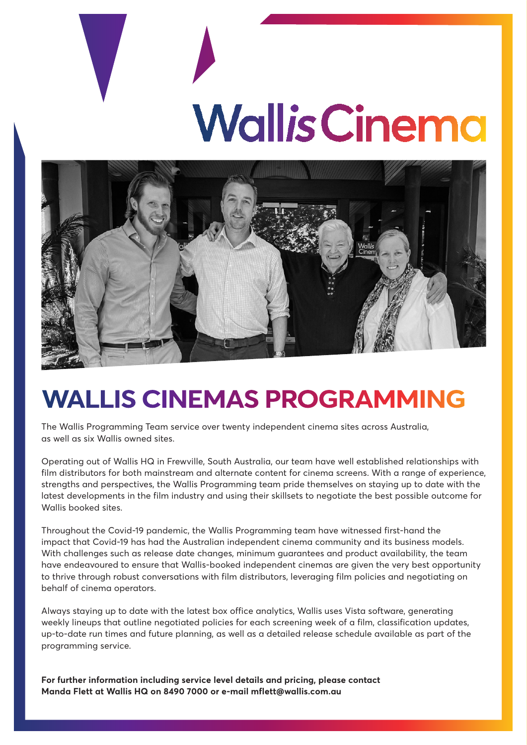# **Wallis Cinema**



## **WALLIS CINEMAS PROGRAMMING**

The Wallis Programming Team service over twenty independent cinema sites across Australia, as well as six Wallis owned sites.

Operating out of Wallis HQ in Frewville, South Australia, our team have well established relationships with film distributors for both mainstream and alternate content for cinema screens. With a range of experience, strengths and perspectives, the Wallis Programming team pride themselves on staying up to date with the latest developments in the film industry and using their skillsets to negotiate the best possible outcome for Wallis booked sites.

Throughout the Covid-19 pandemic, the Wallis Programming team have witnessed first-hand the impact that Covid-19 has had the Australian independent cinema community and its business models. With challenges such as release date changes, minimum guarantees and product availability, the team have endeavoured to ensure that Wallis-booked independent cinemas are given the very best opportunity to thrive through robust conversations with film distributors, leveraging film policies and negotiating on behalf of cinema operators.

Always staying up to date with the latest box office analytics, Wallis uses Vista software, generating weekly lineups that outline negotiated policies for each screening week of a film, classification updates, up-to-date run times and future planning, as well as a detailed release schedule available as part of the programming service.

**For further information including service level details and pricing, please contact Manda Flett at Wallis HQ on 8490 7000 or e-mail mflett@wallis.com.au**